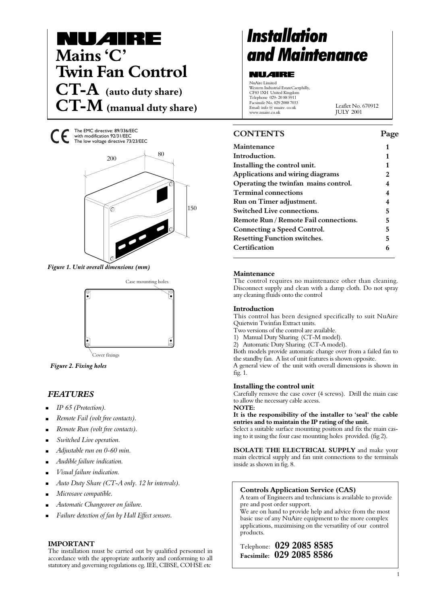

The EMC directive: 89/336/EEC with modification 92/31/EEC The low voltage directive 73/23/EEC



*Figure 1. Unit overall dimensions (mm)*



*Figure 2. Fixing holes*

# *FEATURES*

- *IP 65 (Protection).* .
- *Remote Fail (volt free contacts).* .
- *Remote Run (volt free contacts).* .
- *Switched Live operation.*  .
- *Adjustable run on 0-60 min.* .
- *Audible failure indication.* .
- *Visual failure indication.* .
- *Auto Duty Share (CT-A only. 12 hr intervals).* .
- *Microsave compatible.* .
- *Automatic Changeover on failure.* .
- *Failure detection of fan by Hall Effect sensors.*  .

### **IMPORTANT**

The installation must be carried out by qualified personnel in accordance with the appropriate authority and conforming to all statutory and governing regulations eg. IEE, CIBSE, COHSE etc

# *Installation*

### **NU***A***IRE**

NuAire Limited Western Industrial EstateCaerphilly, CF83 1XH United Kingdom Telephone 029- 20 88 5911 Facsimile No. 029 2088 7033 Email: info @ nuaire. co.uk www.nuaire.co.uk

Leaflet No. 670912 JULY 2001

# **CONTENTS Page**

| Maintenance                                  |   |
|----------------------------------------------|---|
| Introduction.                                |   |
| Installing the control unit.                 | 1 |
| <b>Applications and wiring diagrams</b>      | 2 |
| Operating the twinfan mains control.         | 4 |
| <b>Terminal connections</b>                  | 4 |
| Run on Timer adjustment.                     |   |
| <b>Switched Live connections.</b>            | 5 |
| <b>Remote Run / Remote Fail connections.</b> | 5 |
| <b>Connecting a Speed Control.</b>           | 5 |
| <b>Resetting Function switches.</b>          | 5 |
| Certification                                |   |
|                                              |   |

### **Maintenance**

The control requires no maintenance other than cleaning. Disconnect supply and clean with a damp cloth. Do not spray any cleaning fluids onto the control

### **Introduction**

This control has been designed specifically to suit NuAire Quietwin Twinfan Extract units.

- Two versions of the control are available.
- 1) Manual Duty Sharing (CT-M model).
- 2) Automatic Duty Sharing (CT-A model).

Both models provide automatic change over from a failed fan to the standby fan. A list of unit features is shown opposite. A general view of the unit with overall dimensions is shown in fig. 1.

# **Installing the control unit**

Carefully remove the case cover (4 screws). Drill the main case to allow the necessary cable access.

**NOTE:**

**It is the responsibility of the installer to 'seal' the cable entries and to maintain the IP rating of the unit.**

Select a suitable surface mounting position and fix the main casing to it using the four case mounting holes provided. (fig 2).

**ISOLATE THE ELECTRICAL SUPPLY** and make your main electrical supply and fan unit connections to the terminals inside as shown in fig. 8.

### **Controls Application Service (CAS)**

A team of Engineers and technicians is available to provide pre and post order support.

We are on hand to provide help and advice from the most basic use of any NuAire equipment to the more complex applications, maximising on the versatility of our control products.

Telephone: **029 2085 8585 Facsimile: 029 2085 8586**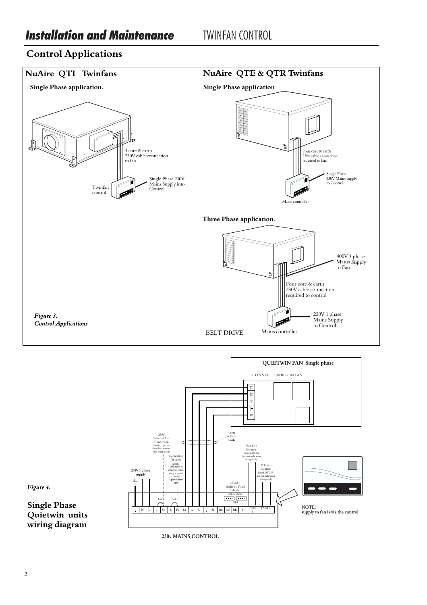# **Control Applications**





*Figure 4.* 

**Single Phase Quietwin units wiring diagram**

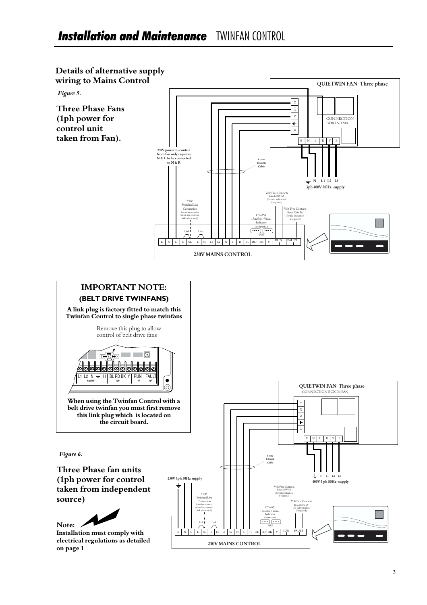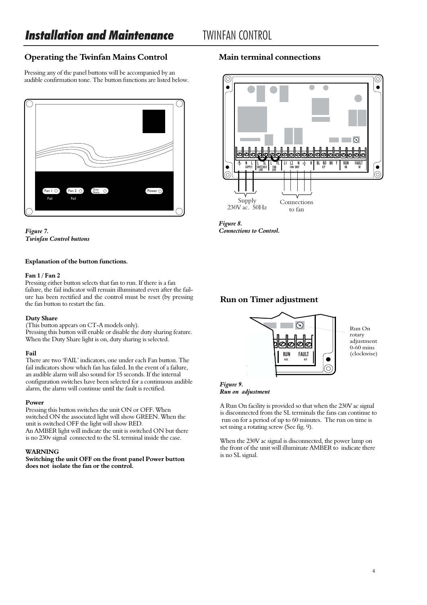# **Operating the Twinfan Mains Control**

Pressing any of the panel buttons will be accompanied by an audible confirmation tone. The button functions are listed below.



*Figure 7. Twinfan Control buttons*

### **Explanation of the button functions.**

### **Fan 1 / Fan 2**

Pressing either button selects that fan to run. If there is a fan failure, the fail indicator will remain illuminated even after the failure has been rectified and the control must be reset (by pressing the fan button to restart the fan.

### **Duty Share**

(This button appears on CT-A models only). Pressing this button will enable or disable the duty sharing feature. When the Duty Share light is on, duty sharing is selected.

### **Fail**

There are two 'FAIL' indicators, one under each Fan button. The fail indicators show which fan has failed. In the event of a failure, an audible alarm will also sound for 15 seconds. If the internal configuration switches have been selected for a continuous audible alarm, the alarm will continue until the fault is rectified.

### **Power**

Pressing this button switches the unit ON or OFF. When switched ON the associated light will show GREEN. When the unit is switched OFF the light will show RED. An AMBER light will indicate the unit is switched ON but there is no 230v signal connected to the SL terminal inside the case.

### **WARNING**

**Switching the unit OFF on the front panel Power button does not isolate the fan or the control.**

# **Main terminal connections**



*Figure 8. Connections to Control.*

# **Run on Timer adjustment**



Run On adjustment 0-60 mins (clockwise)

### *Figure 9. Run on adjustment*

A Run On facility is provided so that when the 230V ac signal is disconnected from the SL terminals the fans can continue to run on for a period of up to 60 minutes. The run on time is set using a rotating screw (See fig. 9).

When the 230V ac signal is disconnected, the power lamp on the front of the unit will illuminate AMBER to indicate there is no SL signal.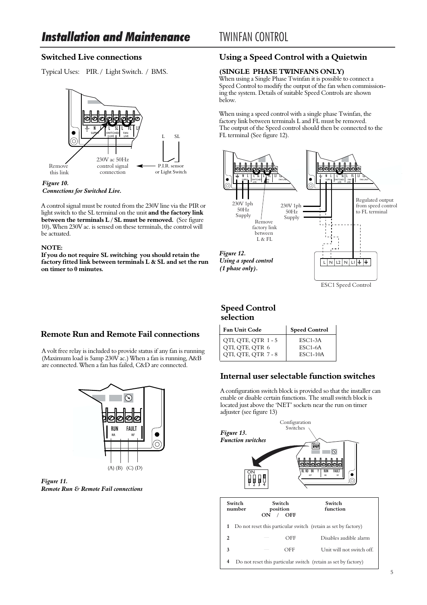# **Switched Live connections**

Typical Uses: PIR. / Light Switch. / BMS.



*Figure 10. Connections for Switched Live.*

A control signal must be routed from the 230V line via the PIR or light switch to the SL terminal on the unit **and the factory link between the terminals L / SL must be removed.** (See figure 10)**.** When 230V ac. is sensed on these terminals, the control will be actuated.

### **NOTE:**

**If you do not require SL switching you should retain the factory fitted link between terminals L & SL and set the run on timer to 0 minutes.**

# **Remote Run and Remote Fail connections**

A volt free relay is included to provide status if any fan is running (Maximum load is 5amp 230V ac.) When a fan is running, A&B are connected. When a fan has failed, C&D are connected.



*Figure 11. Remote Run & Remote Fail connections*

# **Using a Speed Control with a Quietwin**

## **(SINGLE PHASE TWINFANS ONLY)**

When using a Single Phase Twinfan it is possible to connect a Speed Control to modify the output of the fan when commissioning the system. Details of suitable Speed Controls are shown below.

When using a speed control with a single phase Twinfan, the factory link between terminals L and FL must be removed. The output of the Speed control should then be connected to the FL terminal (See figure 12).



# **Speed Control selection**

| <b>Fan Unit Code</b> | <b>Speed Control</b> |
|----------------------|----------------------|
| QTI, QTE, QTR 1-5    | $ESC1-3A$            |
| QTI, QTE, QTR 6      | $ESC1-6A$            |
| QTI, QTE, QTR 7 - 8  | $ESC1-10A$           |

# **Internal user selectable function switches**

A configuration switch block is provided so that the installer can enable or disable certain functions. The small switch block is located just above the 'NET' sockets near the run on timer adjuster (see figure 13)